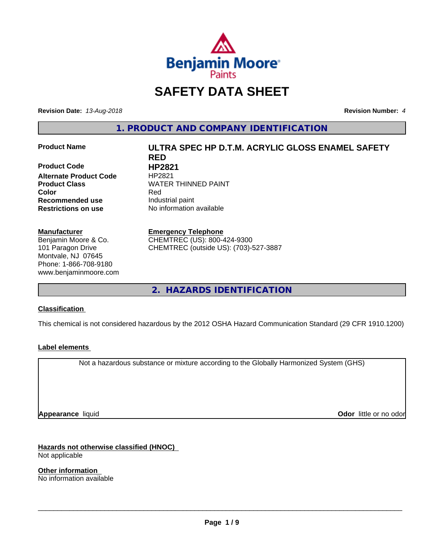

# **SAFETY DATA SHEET**

**Revision Date:** *13-Aug-2018* **Revision Number:** *4*

**1. PRODUCT AND COMPANY IDENTIFICATION**

**Product Code HP2821 Alternate Product Code** HP2821 **Color** Red **Recommended use** Industrial paint **Restrictions on use** No information available

#### **Manufacturer**

Benjamin Moore & Co. 101 Paragon Drive Montvale, NJ 07645 Phone: 1-866-708-9180 www.benjaminmoore.com

# **Product Name ULTRA SPEC HP D.T.M. ACRYLIC GLOSS ENAMEL SAFETY RED Product Class WATER THINNED PAINT**

#### **Emergency Telephone**

CHEMTREC (US): 800-424-9300 CHEMTREC (outside US): (703)-527-3887

**2. HAZARDS IDENTIFICATION**

### **Classification**

This chemical is not considered hazardous by the 2012 OSHA Hazard Communication Standard (29 CFR 1910.1200)

### **Label elements**

Not a hazardous substance or mixture according to the Globally Harmonized System (GHS)

**Appearance** liquid

**Odor** little or no odor

**Hazards not otherwise classified (HNOC)** Not applicable

**Other information** No information available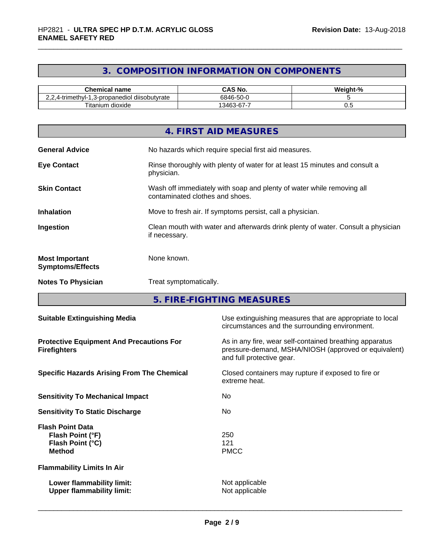# **3. COMPOSITION INFORMATION ON COMPONENTS**

| <b>Chemical name</b>                                                            | CAS No.                           | - 04<br><br>Veiaht- |
|---------------------------------------------------------------------------------|-----------------------------------|---------------------|
| $\cdots$<br>$\cdots$<br>diisobutvrate<br>1.3-propanediol<br>.4-trimeth∨l-∶<br>. | $-\sim$<br>6846<br>ה-טכ-פ         |                     |
| ÷.<br><b>itanium</b><br>⊧ dioxide                                               | -<br>,კ46^<br>$\sim$<br>. აპ-67-1 | ∪.∪                 |

|                                                  | 4. FIRST AID MEASURES                                                                                    |
|--------------------------------------------------|----------------------------------------------------------------------------------------------------------|
| <b>General Advice</b>                            | No hazards which require special first aid measures.                                                     |
| <b>Eye Contact</b>                               | Rinse thoroughly with plenty of water for at least 15 minutes and consult a<br>physician.                |
| <b>Skin Contact</b>                              | Wash off immediately with soap and plenty of water while removing all<br>contaminated clothes and shoes. |
| <b>Inhalation</b>                                | Move to fresh air. If symptoms persist, call a physician.                                                |
| Ingestion                                        | Clean mouth with water and afterwards drink plenty of water. Consult a physician<br>if necessary.        |
| <b>Most Important</b><br><b>Symptoms/Effects</b> | None known.                                                                                              |
| <b>Notes To Physician</b>                        | Treat symptomatically.                                                                                   |

**5. FIRE-FIGHTING MEASURES**

| <b>Suitable Extinguishing Media</b>                                              | Use extinguishing measures that are appropriate to local<br>circumstances and the surrounding environment.                                   |
|----------------------------------------------------------------------------------|----------------------------------------------------------------------------------------------------------------------------------------------|
| <b>Protective Equipment And Precautions For</b><br><b>Firefighters</b>           | As in any fire, wear self-contained breathing apparatus<br>pressure-demand, MSHA/NIOSH (approved or equivalent)<br>and full protective gear. |
| <b>Specific Hazards Arising From The Chemical</b>                                | Closed containers may rupture if exposed to fire or<br>extreme heat.                                                                         |
| <b>Sensitivity To Mechanical Impact</b>                                          | No.                                                                                                                                          |
| <b>Sensitivity To Static Discharge</b>                                           | No.                                                                                                                                          |
| <b>Flash Point Data</b><br>Flash Point (°F)<br>Flash Point (°C)<br><b>Method</b> | 250<br>121<br><b>PMCC</b>                                                                                                                    |
| <b>Flammability Limits In Air</b>                                                |                                                                                                                                              |
| Lower flammability limit:<br><b>Upper flammability limit:</b>                    | Not applicable<br>Not applicable                                                                                                             |
|                                                                                  |                                                                                                                                              |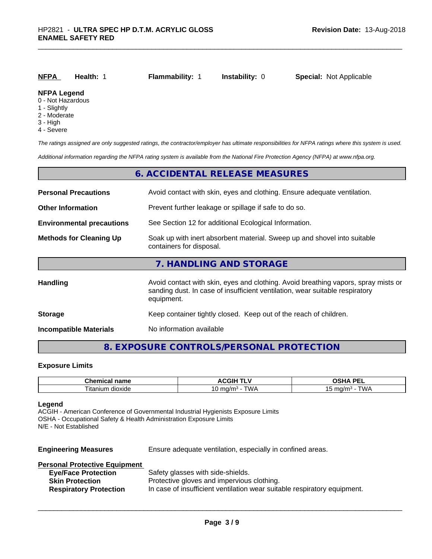| NFPA                                    | Health: | <b>Flammability: 1</b> | <b>Instability: 0</b> | <b>Special: Not Applicable</b> |  |
|-----------------------------------------|---------|------------------------|-----------------------|--------------------------------|--|
| <b>NFPA Legend</b><br>0 - Not Hazardous |         |                        |                       |                                |  |

- 1 Slightly
- 2 Moderate
- 
- 3 High
- 4 Severe

*The ratings assigned are only suggested ratings, the contractor/employer has ultimate responsibilities for NFPA ratings where this system is used.*

*Additional information regarding the NFPA rating system is available from the National Fire Protection Agency (NFPA) at www.nfpa.org.*

|                                  | 6. ACCIDENTAL RELEASE MEASURES                                                                                                                                                   |
|----------------------------------|----------------------------------------------------------------------------------------------------------------------------------------------------------------------------------|
| <b>Personal Precautions</b>      | Avoid contact with skin, eyes and clothing. Ensure adequate ventilation.                                                                                                         |
| <b>Other Information</b>         | Prevent further leakage or spillage if safe to do so.                                                                                                                            |
| <b>Environmental precautions</b> | See Section 12 for additional Ecological Information.                                                                                                                            |
| <b>Methods for Cleaning Up</b>   | Soak up with inert absorbent material. Sweep up and shovel into suitable<br>containers for disposal.                                                                             |
|                                  | 7. HANDLING AND STORAGE                                                                                                                                                          |
| Handling                         | Avoid contact with skin, eyes and clothing. Avoid breathing vapors, spray mists or<br>sanding dust. In case of insufficient ventilation, wear suitable respiratory<br>equipment. |
| <b>Storage</b>                   | Keep container tightly closed. Keep out of the reach of children.                                                                                                                |
| <b>Incompatible Materials</b>    | No information available                                                                                                                                                         |

# **8. EXPOSURE CONTROLS/PERSONAL PROTECTION**

#### **Exposure Limits**

| Chemical name            | <b>ACGIH T'</b>                   | <b>DE</b><br>n<br>$\blacksquare$<br>-- |
|--------------------------|-----------------------------------|----------------------------------------|
| --<br>dioxide<br>ıtanıum | "WA<br>$m \alpha/m$<br>، اسا<br>v | T111<br>malm-<br>ונטו<br>.             |

#### **Legend**

ACGIH - American Conference of Governmental Industrial Hygienists Exposure Limits OSHA - Occupational Safety & Health Administration Exposure Limits N/E - Not Established

| <b>Engineering Measures</b> | Ensure adequate ventilation, especially in confined areas. |  |
|-----------------------------|------------------------------------------------------------|--|
|-----------------------------|------------------------------------------------------------|--|

|  |  | <b>Personal Protective Equipment</b> |  |  |  |
|--|--|--------------------------------------|--|--|--|
|  |  |                                      |  |  |  |

| <b>Eye/Face Protection</b>    | Safety glasses with side-shields.                                        |
|-------------------------------|--------------------------------------------------------------------------|
| <b>Skin Protection</b>        | Protective gloves and impervious clothing.                               |
| <b>Respiratory Protection</b> | In case of insufficient ventilation wear suitable respiratory equipment. |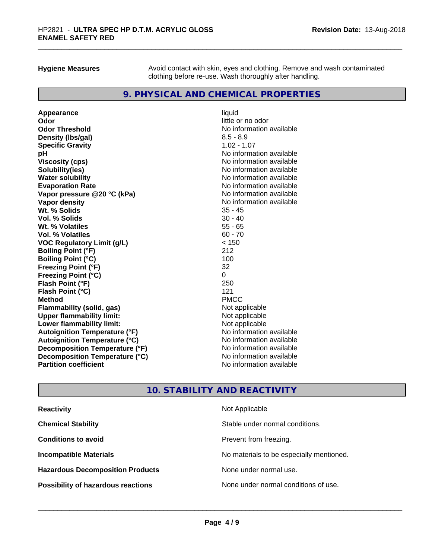**Hygiene Measures** Avoid contact with skin, eyes and clothing. Remove and wash contaminated clothing before re-use. Wash thoroughly after handling.

## **9. PHYSICAL AND CHEMICAL PROPERTIES**

**Appearance** liquid **Odor** little or no odor **Odor Threshold**<br> **Density (Ibs/gal)**<br> **Density (Ibs/gal)**<br> **No information available**<br>  $8.5 - 8.9$ **Density (lbs/gal)** 8.5 - 8.9<br> **Specific Gravity** 8.5 - 8.9<br> **Specific Gravity** 1.02 - 1.07 **Specific Gravity pH**<br>
Viscosity (cps) The Contract of the Contract of the Viscosity (cps) and Viscosity (cps) **Solubility(ies)** No information available **Water solubility Mater Solubility**<br> **Evaporation Rate** Mate No information available **Vapor pressure @20 °C (kPa)** No information available **Vapor density**<br> **We Solids**<br>
We Solid Wit, % Solids
25 - 45 Wt. % Solids **Vol. % Solids** 30 - 40 **Wt. % Volatiles** 55 - 65 **Vol. % Volatiles** 60 - 70 **VOC Regulatory Limit (g/L)** < 150 **Boiling Point (°F)** 212 **Boiling Point (°C)** 100 **Freezing Point (°F)** 32 **Freezing Point (°C)** 0 **Flash Point (°F)** 250 **Flash Point (°C)** 121<br> **Method** PMCC **Method** PMCC **Flammability (solid, gas)** Not applicable **Upper flammability limit:**<br> **Lower flammability limit:**<br>
Not applicable<br>
Not applicable **Lower flammability limit: Autoignition Temperature (°F)** No information available **Autoignition Temperature (°C)** No information available **Decomposition Temperature (°F)** No information available **Decomposition Temperature (°C)**<br> **Partition coefficient**<br> **Partition coefficient**<br> **No** information available

**Viscosity (cps)** No information available **Evaporation Rate** No information available **No information available** 

# **10. STABILITY AND REACTIVITY**

| <b>Reactivity</b>                         | Not Applicable                           |
|-------------------------------------------|------------------------------------------|
| <b>Chemical Stability</b>                 | Stable under normal conditions.          |
| <b>Conditions to avoid</b>                | Prevent from freezing.                   |
| <b>Incompatible Materials</b>             | No materials to be especially mentioned. |
| <b>Hazardous Decomposition Products</b>   | None under normal use.                   |
| <b>Possibility of hazardous reactions</b> | None under normal conditions of use.     |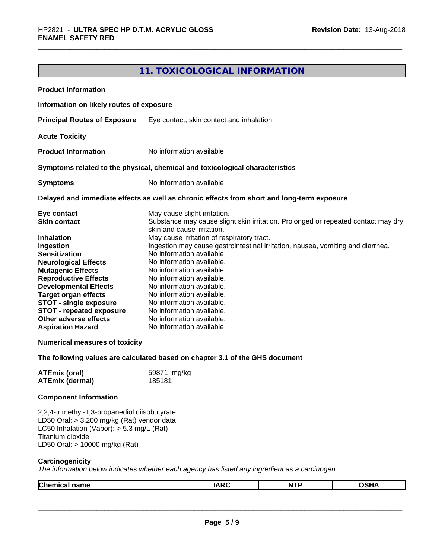# **11. TOXICOLOGICAL INFORMATION**

| <b>Product Information</b>                                                                                                                                                                                                                                                                                                                                                                                              |                                                                                                                                                                                                                                                                                                                                                                                                                                                                                                                                                                                                                                                                  |
|-------------------------------------------------------------------------------------------------------------------------------------------------------------------------------------------------------------------------------------------------------------------------------------------------------------------------------------------------------------------------------------------------------------------------|------------------------------------------------------------------------------------------------------------------------------------------------------------------------------------------------------------------------------------------------------------------------------------------------------------------------------------------------------------------------------------------------------------------------------------------------------------------------------------------------------------------------------------------------------------------------------------------------------------------------------------------------------------------|
| Information on likely routes of exposure                                                                                                                                                                                                                                                                                                                                                                                |                                                                                                                                                                                                                                                                                                                                                                                                                                                                                                                                                                                                                                                                  |
| <b>Principal Routes of Exposure</b>                                                                                                                                                                                                                                                                                                                                                                                     | Eye contact, skin contact and inhalation.                                                                                                                                                                                                                                                                                                                                                                                                                                                                                                                                                                                                                        |
| <b>Acute Toxicity</b>                                                                                                                                                                                                                                                                                                                                                                                                   |                                                                                                                                                                                                                                                                                                                                                                                                                                                                                                                                                                                                                                                                  |
| <b>Product Information</b>                                                                                                                                                                                                                                                                                                                                                                                              | No information available                                                                                                                                                                                                                                                                                                                                                                                                                                                                                                                                                                                                                                         |
|                                                                                                                                                                                                                                                                                                                                                                                                                         | Symptoms related to the physical, chemical and toxicological characteristics                                                                                                                                                                                                                                                                                                                                                                                                                                                                                                                                                                                     |
| <b>Symptoms</b>                                                                                                                                                                                                                                                                                                                                                                                                         | No information available                                                                                                                                                                                                                                                                                                                                                                                                                                                                                                                                                                                                                                         |
|                                                                                                                                                                                                                                                                                                                                                                                                                         | Delayed and immediate effects as well as chronic effects from short and long-term exposure                                                                                                                                                                                                                                                                                                                                                                                                                                                                                                                                                                       |
| Eye contact<br><b>Skin contact</b><br><b>Inhalation</b><br>Ingestion<br><b>Sensitization</b><br><b>Neurological Effects</b><br><b>Mutagenic Effects</b><br><b>Reproductive Effects</b><br><b>Developmental Effects</b><br><b>Target organ effects</b><br><b>STOT - single exposure</b><br><b>STOT - repeated exposure</b><br>Other adverse effects<br><b>Aspiration Hazard</b><br><b>Numerical measures of toxicity</b> | May cause slight irritation.<br>Substance may cause slight skin irritation. Prolonged or repeated contact may dry<br>skin and cause irritation.<br>May cause irritation of respiratory tract.<br>Ingestion may cause gastrointestinal irritation, nausea, vomiting and diarrhea.<br>No information available<br>No information available.<br>No information available.<br>No information available.<br>No information available.<br>No information available.<br>No information available.<br>No information available.<br>No information available.<br>No information available<br>The following values are calculated based on chapter 3.1 of the GHS document |
| <b>ATEmix (oral)</b><br><b>ATEmix (dermal)</b>                                                                                                                                                                                                                                                                                                                                                                          | 59871 mg/kg<br>185181                                                                                                                                                                                                                                                                                                                                                                                                                                                                                                                                                                                                                                            |
| <b>Component Information</b>                                                                                                                                                                                                                                                                                                                                                                                            |                                                                                                                                                                                                                                                                                                                                                                                                                                                                                                                                                                                                                                                                  |
| 2,2,4-trimethyl-1,3-propanediol diisobutyrate<br>LD50 Oral: > 3,200 mg/kg (Rat) vendor data<br>LC50 Inhalation (Vapor): > 5.3 mg/L (Rat)<br>Titanium dioxide<br>LD50 Oral: > 10000 mg/kg (Rat)                                                                                                                                                                                                                          |                                                                                                                                                                                                                                                                                                                                                                                                                                                                                                                                                                                                                                                                  |
| Carcinogenicity                                                                                                                                                                                                                                                                                                                                                                                                         | The information below indicates whether each agency has listed any ingredient as a carcinogen:.                                                                                                                                                                                                                                                                                                                                                                                                                                                                                                                                                                  |

| Chemical<br>name | $\overline{a}$<br>$\mathbf{r}$<br>IAIW | <b>NTP</b> | - - -<br>ne:<br>эHА |
|------------------|----------------------------------------|------------|---------------------|
|                  |                                        |            |                     |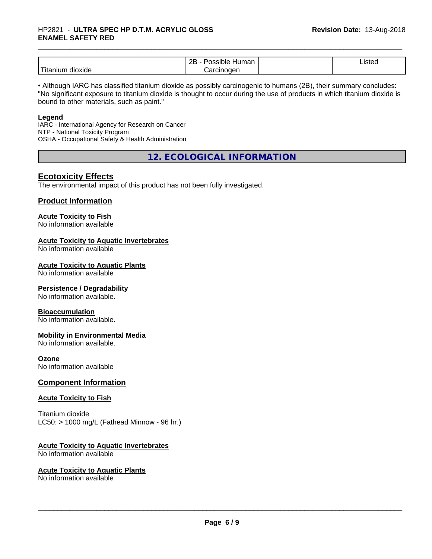#### \_\_\_\_\_\_\_\_\_\_\_\_\_\_\_\_\_\_\_\_\_\_\_\_\_\_\_\_\_\_\_\_\_\_\_\_\_\_\_\_\_\_\_\_\_\_\_\_\_\_\_\_\_\_\_\_\_\_\_\_\_\_\_\_\_\_\_\_\_\_\_\_\_\_\_\_\_\_\_\_\_\_\_\_\_\_\_\_\_\_\_\_\_ HP2821 - **ULTRA SPEC HP D.T.M. ACRYLIC GLOSS ENAMEL SAFETY RED**

|                              | <br>ם מ<br>.<br>sidie<br>⊣umar<br>-- | 10t<br>"SIEC<br>$    -$ |  |
|------------------------------|--------------------------------------|-------------------------|--|
| .<br><br>dioxide<br>Titaniur | nan<br><br>лн                        |                         |  |

• Although IARC has classified titanium dioxide as possibly carcinogenic to humans (2B), their summary concludes: "No significant exposure to titanium dioxide is thought to occur during the use of products in which titanium dioxide is bound to other materials, such as paint."

#### **Legend**

IARC - International Agency for Research on Cancer NTP - National Toxicity Program OSHA - Occupational Safety & Health Administration

**12. ECOLOGICAL INFORMATION**

### **Ecotoxicity Effects**

The environmental impact of this product has not been fully investigated.

### **Product Information**

#### **Acute Toxicity to Fish**

No information available

#### **Acute Toxicity to Aquatic Invertebrates**

No information available

#### **Acute Toxicity to Aquatic Plants**

No information available

#### **Persistence / Degradability**

No information available.

#### **Bioaccumulation**

No information available.

#### **Mobility in Environmental Media**

No information available.

#### **Ozone**

No information available

### **Component Information**

#### **Acute Toxicity to Fish**

Titanium dioxide  $LC50:$  > 1000 mg/L (Fathead Minnow - 96 hr.)

#### **Acute Toxicity to Aquatic Invertebrates**

No information available

#### **Acute Toxicity to Aquatic Plants**

No information available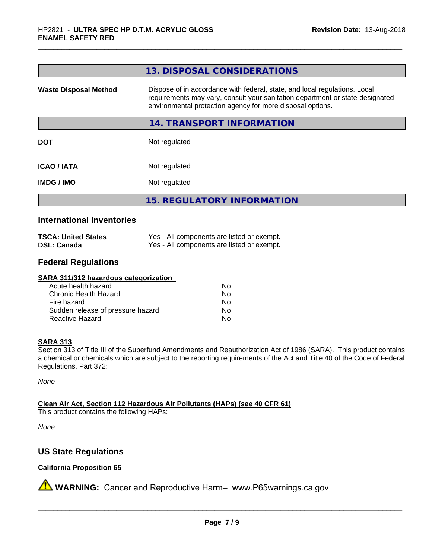|                                  | 13. DISPOSAL CONSIDERATIONS                                                                                                                                                                                               |  |
|----------------------------------|---------------------------------------------------------------------------------------------------------------------------------------------------------------------------------------------------------------------------|--|
| <b>Waste Disposal Method</b>     | Dispose of in accordance with federal, state, and local regulations. Local<br>requirements may vary, consult your sanitation department or state-designated<br>environmental protection agency for more disposal options. |  |
|                                  | 14. TRANSPORT INFORMATION                                                                                                                                                                                                 |  |
| <b>DOT</b>                       | Not regulated                                                                                                                                                                                                             |  |
| <b>ICAO/IATA</b>                 | Not regulated                                                                                                                                                                                                             |  |
| Not regulated<br><b>IMDG/IMO</b> |                                                                                                                                                                                                                           |  |
|                                  | <b>15. REGULATORY INFORMATION</b>                                                                                                                                                                                         |  |

### **International Inventories**

| <b>TSCA: United States</b> | Yes - All components are listed or exempt. |
|----------------------------|--------------------------------------------|
| <b>DSL: Canada</b>         | Yes - All components are listed or exempt. |

### **Federal Regulations**

#### **SARA 311/312 hazardous categorization**

| Acute health hazard               | Nο |
|-----------------------------------|----|
| Chronic Health Hazard             | Nο |
| Fire hazard                       | Nο |
| Sudden release of pressure hazard | N٥ |
| Reactive Hazard                   | N٥ |

#### **SARA 313**

Section 313 of Title III of the Superfund Amendments and Reauthorization Act of 1986 (SARA). This product contains a chemical or chemicals which are subject to the reporting requirements of the Act and Title 40 of the Code of Federal Regulations, Part 372:

*None*

**Clean Air Act,Section 112 Hazardous Air Pollutants (HAPs) (see 40 CFR 61)**

This product contains the following HAPs:

*None*

## **US State Regulations**

#### **California Proposition 65**

**A** WARNING: Cancer and Reproductive Harm– www.P65warnings.ca.gov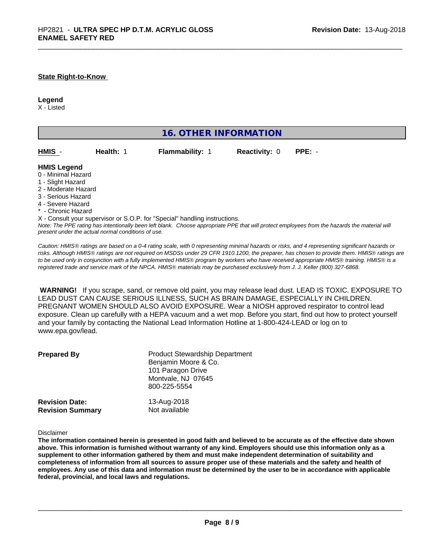#### **State Right-to-Know**

#### **Legend**

X - Listed

| <b>16. OTHER INFORMATION</b>                                                                                                                                                                                |           |                                                                            |                      |                                                                                                                                               |
|-------------------------------------------------------------------------------------------------------------------------------------------------------------------------------------------------------------|-----------|----------------------------------------------------------------------------|----------------------|-----------------------------------------------------------------------------------------------------------------------------------------------|
| HMIS -                                                                                                                                                                                                      | Health: 1 | <b>Flammability: 1</b>                                                     | <b>Reactivity: 0</b> | $PPE: -$                                                                                                                                      |
| <b>HMIS Legend</b><br>0 - Minimal Hazard<br>1 - Slight Hazard<br>2 - Moderate Hazard<br>3 - Serious Hazard<br>4 - Severe Hazard<br>* - Chronic Hazard<br>present under the actual normal conditions of use. |           | X - Consult your supervisor or S.O.P. for "Special" handling instructions. |                      | Note: The PPE rating has intentionally been left blank. Choose appropriate PPE that will protect employees from the hazards the material will |

*Caution: HMISÒ ratings are based on a 0-4 rating scale, with 0 representing minimal hazards or risks, and 4 representing significant hazards or risks. Although HMISÒ ratings are not required on MSDSs under 29 CFR 1910.1200, the preparer, has chosen to provide them. HMISÒ ratings are to be used only in conjunction with a fully implemented HMISÒ program by workers who have received appropriate HMISÒ training. HMISÒ is a registered trade and service mark of the NPCA. HMISÒ materials may be purchased exclusively from J. J. Keller (800) 327-6868.*

 **WARNING!** If you scrape, sand, or remove old paint, you may release lead dust. LEAD IS TOXIC. EXPOSURE TO LEAD DUST CAN CAUSE SERIOUS ILLNESS, SUCH AS BRAIN DAMAGE, ESPECIALLY IN CHILDREN. PREGNANT WOMEN SHOULD ALSO AVOID EXPOSURE.Wear a NIOSH approved respirator to control lead exposure. Clean up carefully with a HEPA vacuum and a wet mop. Before you start, find out how to protect yourself and your family by contacting the National Lead Information Hotline at 1-800-424-LEAD or log on to www.epa.gov/lead.

| <b>Prepared By</b>      | <b>Product Stewardship Department</b><br>Benjamin Moore & Co.<br>101 Paragon Drive<br>Montvale, NJ 07645<br>800-225-5554 |  |
|-------------------------|--------------------------------------------------------------------------------------------------------------------------|--|
| <b>Revision Date:</b>   | 13-Aug-2018                                                                                                              |  |
| <b>Revision Summary</b> | Not available                                                                                                            |  |

Disclaimer

The information contained herein is presented in good faith and believed to be accurate as of the effective date shown above. This information is furnished without warranty of any kind. Employers should use this information only as a **supplement to other information gathered by them and must make independent determination of suitability and** completeness of information from all sources to assure proper use of these materials and the safety and health of employees. Any use of this data and information must be determined by the user to be in accordance with applicable **federal, provincial, and local laws and regulations.**